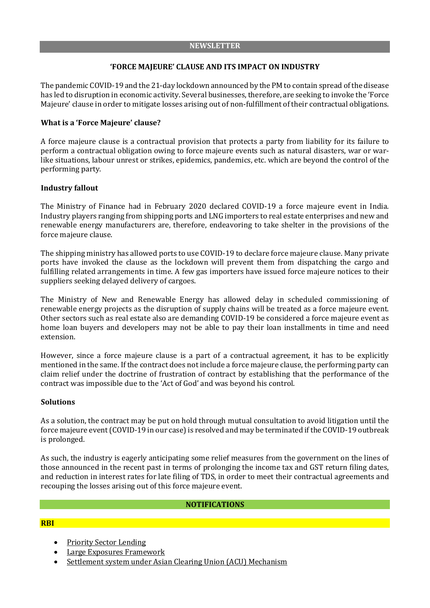# **'FORCE MAJEURE' CLAUSE AND ITS IMPACT ON INDUSTRY**

The pandemic COVID-19 and the 21-day lockdown announced by the PM to contain spread ofthe disease has led to disruption in economic activity. Several businesses, therefore, are seeking to invoke the 'Force Majeure' clause in order to mitigate losses arising out of non-fulfillment of their contractual obligations.

## **What is a 'Force Majeure' clause?**

A force majeure clause is a contractual provision that protects a party from liability for its failure to perform a contractual obligation owing to force majeure events such as natural disasters, war or warlike situations, labour unrest or strikes, epidemics, pandemics, etc. which are beyond the control of the performing party.

### **Industry fallout**

The Ministry of Finance had in February 2020 declared COVID-19 a force majeure event in India. Industry players ranging from shipping ports and LNG importers to real estate enterprises and new and renewable energy manufacturers are, therefore, endeavoring to take shelter in the provisions of the force majeure clause.

The shipping ministry has allowed ports to use COVID-19 to declare force majeure clause. Many private ports have invoked the clause as the lockdown will prevent them from dispatching the cargo and fulfilling related arrangements in time. A few gas importers have issued force majeure notices to their suppliers seeking delayed delivery of cargoes.

The Ministry of New and Renewable Energy has allowed delay in scheduled commissioning of renewable energy projects as the disruption of supply chains will be treated as a force majeure event. Other sectors such as real estate also are demanding COVID-19 be considered a force majeure event as home loan buyers and developers may not be able to pay their loan installments in time and need extension.

However, since a force majeure clause is a part of a contractual agreement, it has to be explicitly mentioned in the same. If the contract does not include a force majeure clause, the performing party can claim relief under the doctrine of frustration of contract by establishing that the performance of the contract was impossible due to the 'Act of God' and was beyond his control.

### **Solutions**

As a solution, the contract may be put on hold through mutual consultation to avoid litigation until the force majeure event (COVID-19 in our case) is resolved and may be terminated if the COVID-19 outbreak is prolonged.

As such, the industry is eagerly anticipating some relief measures from the government on the lines of those announced in the recent past in terms of prolonging the income tax and GST return filing dates, and reduction in interest rates for late filing of TDS, in order to meet their contractual agreements and recouping the losses arising out of this force majeure event.

### **NOTIFICATIONS**

### **RBI**

- Priority Sector [Lending](https://m.rbi.org.in/scripts/NotificationUser.aspx?Id=11828&Mode=0)
- Large Exposures [Framework](https://m.rbi.org.in/scripts/NotificationUser.aspx?Id=11827&Mode=0)
- Settlement system under Asian Clearing Union (ACU) [Mechanism](https://m.rbi.org.in/scripts/NotificationUser.aspx?Id=11825&Mode=0)